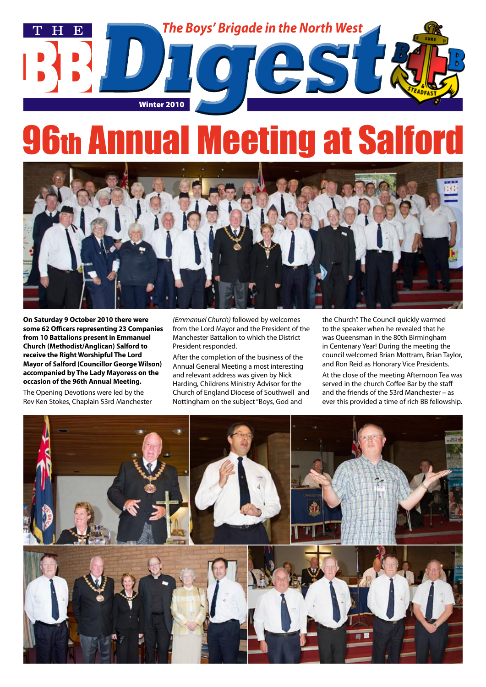

# **Meeting at Salfor**



**On Saturday 9 October 2010 there were some 62 Officers representing 23 Companies from 10 Battalions present in Emmanuel Church (Methodist/Anglican) Salford to receive the Right Worshipful The Lord Mayor of Salford (Councillor George Wilson) accompanied by The Lady Mayoress on the occasion of the 96th Annual Meeting.**

The Opening Devotions were led by the Rev Ken Stokes, Chaplain 53rd Manchester

*(Emmanuel Church)* followed by welcomes from the Lord Mayor and the President of the Manchester Battalion to which the District President responded.

After the completion of the business of the Annual General Meeting a most interesting and relevant address was given by Nick Harding, Childrens Ministry Advisor for the Church of England Diocese of Southwell and Nottingham on the subject "Boys, God and

the Church". The Council quickly warmed to the speaker when he revealed that he was Queensman in the 80th Birmingham in Centenary Year! During the meeting the council welcomed Brian Mottram, Brian Taylor, and Ron Reid as Honorary Vice Presidents.

At the close of the meeting Afternoon Tea was served in the church Coffee Bar by the staff and the friends of the 53rd Manchester – as ever this provided a time of rich BB fellowship.

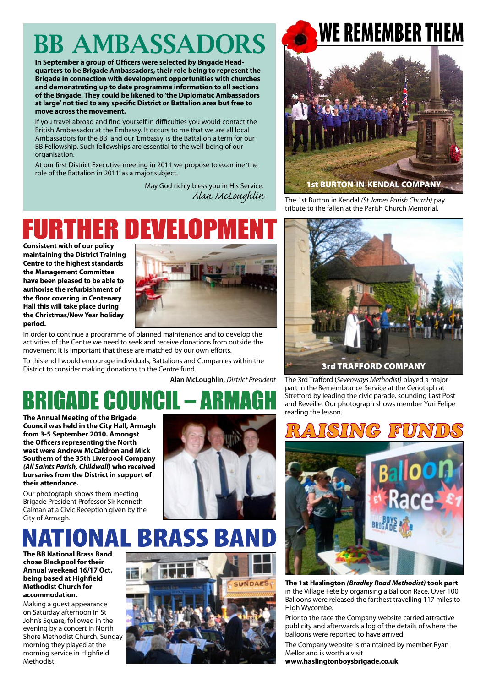# **BB AMBASSADORS**

**In September a group of Officers were selected by Brigade Headquarters to be Brigade Ambassadors, their role being to represent the Brigade in connection with development opportunities with churches and demonstrating up to date programme information to all sections of the Brigade. They could be likened to 'the Diplomatic Ambassadors at large' not tied to any specific District or Battalion area but free to move across the movement.**

If you travel abroad and find yourself in difficulties you would contact the British Ambassador at the Embassy. It occurs to me that we are all local Ambassadors for the BB and our 'Embassy' is the Battalion a term for our BB Fellowship. Such fellowships are essential to the well-being of our organisation.

At our first District Executive meeting in 2011 we propose to examine 'the role of the Battalion in 2011' as a major subject.

> May God richly bless you in His Service. *Alan McLoughlin*

### IHR D F

**Consistent with of our policy maintaining the District Training Centre to the highest standards the Management Committee have been pleased to be able to authorise the refurbishment of the floor covering in Centenary Hall this will take place during the Christmas/New Year holiday period.**



In order to continue a programme of planned maintenance and to develop the activities of the Centre we need to seek and receive donations from outside the movement it is important that these are matched by our own efforts.

To this end I would encourage individuals, Battalions and Companies within the District to consider making donations to the Centre fund.

# **BRIGADE COUNCIL –**

**The Annual Meeting of the Brigade Council was held in the City Hall, Armagh from 3-5 September 2010. Amongst the Officers representing the North west were Andrew McCaldron and Mick Southern of the 35th Liverpool Company**  *(All Saints Parish, Childwall)* **who received bursaries from the District in support of their attendance.**



Our photograph shows them meeting Brigade President Professor Sir Kenneth Calman at a Civic Reception given by the City of Armagh.

## **BRASS BANK** ATIONAL

**The BB National Brass Band chose Blackpool for their Annual weekend 16/17 Oct. being based at Highfield Methodist Church for accommodation.**

Making a guest appearance on Saturday afternoon in St John's Square, followed in the evening by a concert in North Shore Methodist Church. Sunday morning they played at the morning service in Highfield Methodist.







The 1st Burton in Kendal *(St James Parish Church)* pay tribute to the fallen at the Parish Church Memorial.



**Alan McLoughlin,** *District President* The 3rd Trafford (*Sevenways Methodist)* played a major part in the Remembrance Service at the Cenotaph at Stretford by leading the civic parade, sounding Last Post and Reveille. Our photograph shows member Yuri Felipe reading the lesson.



**The 1st Haslington** *(Bradley Road Methodist)* **took part** in the Village Fete by organising a Balloon Race. Over 100 Balloons were released the farthest travelling 117 miles to High Wycombe.

Prior to the race the Company website carried attractive publicity and afterwards a log of the details of where the balloons were reported to have arrived.

The Company website is maintained by member Ryan Mellor and is worth a visit

**www.haslingtonboysbrigade.co.uk**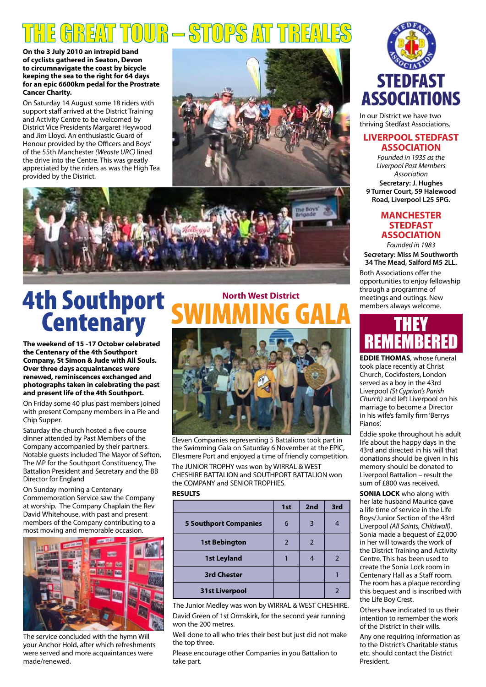# <u>GREAT TOUR – STOPS AT TREAL</u>

**On the 3 July 2010 an intrepid band of cyclists gathered in Seaton, Devon to circumnavigate the coast by bicycle keeping the sea to the right for 64 days for an epic 6600km pedal for the Prostrate Cancer Charity.**

On Saturday 14 August some 18 riders with support staff arrived at the District Training and Activity Centre to be welcomed by District Vice Presidents Margaret Heywood and Jim Lloyd. An enthusiastic Guard of Honour provided by the Officers and Boys' of the 55th Manchester *(weaste urc)* lined the drive into the Centre. This was greatly appreciated by the riders as was the High Tea provided by the District.





### 4th Southport **Centenary North West District** SWIMMING GALA

The weekend of 15 -17 October celebrated **the Centenary of the 4th Southport Company, St Simon & Jude with All Souls. Over three days acquaintances were renewed, reminiscences exchanged and photographs taken in celebrating the past and present life of the 4th Southport.**

On Friday some 40 plus past members joined with present Company members in a Pie and Chip Supper.

Saturday the church hosted a five course dinner attended by Past Members of the Company accompanied by their partners. Notable guests included The Mayor of Sefton, The MP for the Southport Constituency, The Battalion President and Secretary and the BB Director for England

On Sunday morning a Centenary Commemoration Service saw the Company at worship. The Company Chaplain the Rev David Whitehouse, with past and present members of the Company contributing to a most moving and memorable occasion.



The service concluded with the hymn Will your Anchor Hold, after which refreshments were served and more acquaintances were made/renewed.



Eleven Companies representing 5 Battalions took part in the Swimming Gala on Saturday 6 November at the EPIC, Ellesmere Port and enjoyed a time of friendly competition. The JUNIOR TROPHY was won by WIRRAL & WEST CHESHIRE BATTALION and SOUTHPORT BATTALION won the COMPANY and SENIOR TROPHIES.

#### **RESULTS**

|                              | 1st | 2nd            | 3rd |
|------------------------------|-----|----------------|-----|
| <b>5 Southport Companies</b> | 6   | 3              |     |
| <b>1st Bebington</b>         | 2   | $\overline{2}$ |     |
| <b>1st Leyland</b>           |     | 4              |     |
| <b>3rd Chester</b>           |     |                |     |
| <b>31st Liverpool</b>        |     |                |     |

The Junior Medley was won by WIRRAL & WEST CHESHIRE. David Green of 1st Ormskirk, for the second year running won the 200 metres.

Well done to all who tries their best but just did not make the top three.

Please encourage other Companies in you Battalion to take part.



In our District we have two thriving Stedfast Associations.

#### **LIVERPOOL STEDFAST ASSOCIATION**

*Founded in 1935 as the Liverpool Past Members Association*

**Secretary: J. Hughes 9 Turner Court, 59 Halewood Road, Liverpool L25 5PG.**

### **MANCHESTER STEDFAST ASSOCIATION**

*Founded in 1983* **Secretary: Miss M Southworth 34 The Mead, Salford M5 2LL.**

Both Associations offer the opportunities to enjoy fellowship through a programme of meetings and outings. New members always welcome.



**EDDIE THOMAS**, whose funeral took place recently at Christ Church, Cockfosters, London served as a boy in the 43rd Liverpool *(St Cyprian's Parish Church)* and left Liverpool on his marriage to become a Director in his wife's family firm 'Berrys Pianos'.

Eddie spoke throughout his adult life about the happy days in the 43rd and directed in his will that donations should be given in his memory should be donated to Liverpool Battalion – result the sum of £800 was received.

**SONIA LOCK** who along with her late husband Maurice gave a life time of service in the Life Boys/Junior Section of the 43rd Liverpool *(All Saints, Childwall)*. Sonia made a bequest of £2,000 in her will towards the work of the District Training and Activity Centre. This has been used to create the Sonia Lock room in Centenary Hall as a Staff room. The room has a plaque recording this bequest and is inscribed with the Life Boy Crest.

Others have indicated to us their intention to remember the work of the District in their wills.

Any one requiring information as to the District's Charitable status etc. should contact the District President.